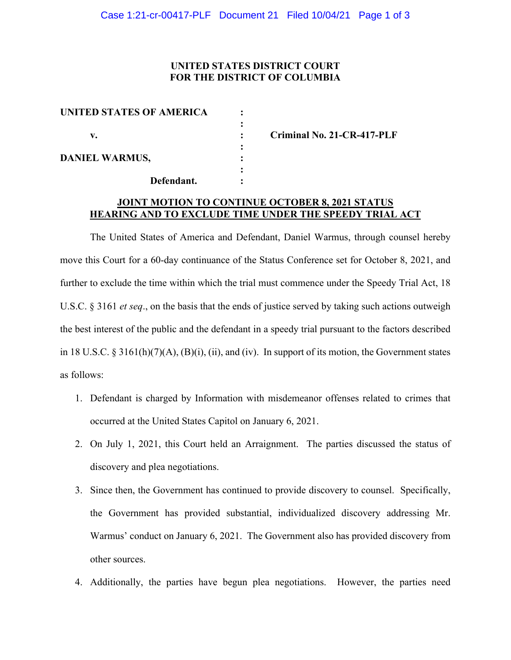### **UNITED STATES DISTRICT COURT FOR THE DISTRICT OF COLUMBIA**

| <b>UNITED STATES OF AMERICA</b> |  |
|---------------------------------|--|
|                                 |  |
| v.                              |  |
|                                 |  |
| <b>DANIEL WARMUS,</b>           |  |
|                                 |  |
| Defendant.                      |  |

**v. : Criminal No. 21-CR-417-PLF**

#### **JOINT MOTION TO CONTINUE OCTOBER 8, 2021 STATUS HEARING AND TO EXCLUDE TIME UNDER THE SPEEDY TRIAL ACT**

The United States of America and Defendant, Daniel Warmus, through counsel hereby move this Court for a 60-day continuance of the Status Conference set for October 8, 2021, and further to exclude the time within which the trial must commence under the Speedy Trial Act, 18 U.S.C. § 3161 *et seq*., on the basis that the ends of justice served by taking such actions outweigh the best interest of the public and the defendant in a speedy trial pursuant to the factors described in 18 U.S.C. § 3161(h)(7)(A), (B)(i), (ii), and (iv). In support of its motion, the Government states as follows:

- 1. Defendant is charged by Information with misdemeanor offenses related to crimes that occurred at the United States Capitol on January 6, 2021.
- 2. On July 1, 2021, this Court held an Arraignment. The parties discussed the status of discovery and plea negotiations.
- 3. Since then, the Government has continued to provide discovery to counsel. Specifically, the Government has provided substantial, individualized discovery addressing Mr. Warmus' conduct on January 6, 2021. The Government also has provided discovery from other sources.
- 4. Additionally, the parties have begun plea negotiations. However, the parties need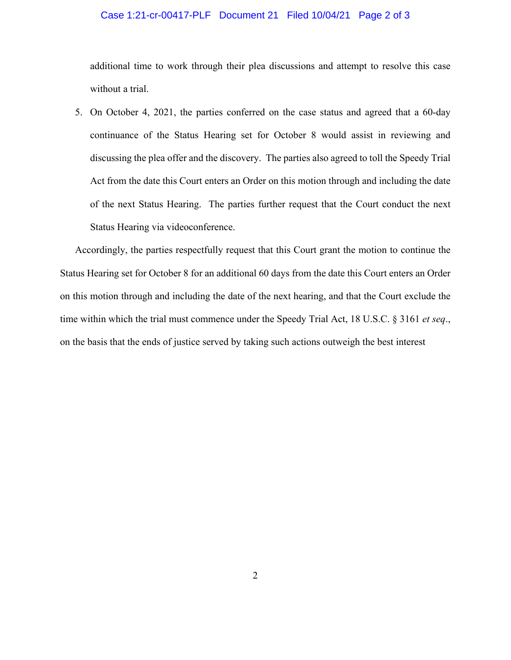# Case 1:21-cr-00417-PLF Document 21 Filed 10/04/21 Page 2 of 3

additional time to work through their plea discussions and attempt to resolve this case without a trial.

5. On October 4, 2021, the parties conferred on the case status and agreed that a 60-day continuance of the Status Hearing set for October 8 would assist in reviewing and discussing the plea offer and the discovery. The parties also agreed to toll the Speedy Trial Act from the date this Court enters an Order on this motion through and including the date of the next Status Hearing. The parties further request that the Court conduct the next Status Hearing via videoconference.

Accordingly, the parties respectfully request that this Court grant the motion to continue the Status Hearing set for October 8 for an additional 60 days from the date this Court enters an Order on this motion through and including the date of the next hearing, and that the Court exclude the time within which the trial must commence under the Speedy Trial Act, 18 U.S.C. § 3161 *et seq*., on the basis that the ends of justice served by taking such actions outweigh the best interest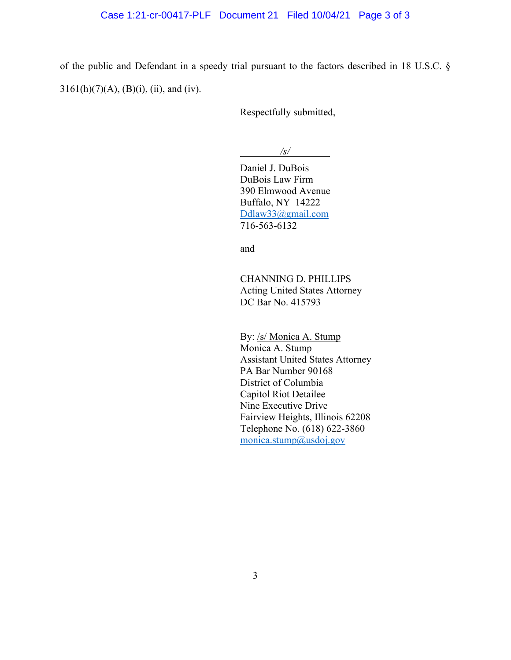#### Case 1:21-cr-00417-PLF Document 21 Filed 10/04/21 Page 3 of 3

of the public and Defendant in a speedy trial pursuant to the factors described in 18 U.S.C. §  $3161(h)(7)(A), (B)(i), (ii), and (iv).$ 

Respectfully submitted,

*\_\_\_\_\_\_\_\_/s/\_\_\_\_\_\_\_\_*

Daniel J. DuBois DuBois Law Firm 390 Elmwood Avenue Buffalo, NY 14222 Ddlaw33@gmail.com 716-563-6132

and

CHANNING D. PHILLIPS Acting United States Attorney DC Bar No. 415793

By: /s/ Monica A. Stump Monica A. Stump Assistant United States Attorney PA Bar Number 90168 District of Columbia Capitol Riot Detailee Nine Executive Drive Fairview Heights, Illinois 62208 Telephone No. (618) 622-3860 monica.stump@usdoj.gov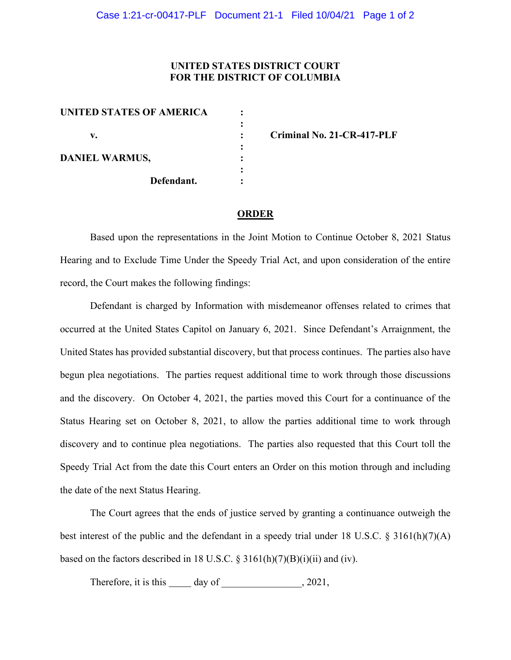## **UNITED STATES DISTRICT COURT FOR THE DISTRICT OF COLUMBIA**

| UNITED STATES OF AMERICA |  |
|--------------------------|--|
|                          |  |
| v.                       |  |
| <b>DANIEL WARMUS,</b>    |  |
|                          |  |
| Defendant.               |  |

**v. : Criminal No. 21-CR-417-PLF**

#### **ORDER**

Based upon the representations in the Joint Motion to Continue October 8, 2021 Status Hearing and to Exclude Time Under the Speedy Trial Act, and upon consideration of the entire record, the Court makes the following findings:

Defendant is charged by Information with misdemeanor offenses related to crimes that occurred at the United States Capitol on January 6, 2021. Since Defendant's Arraignment, the United States has provided substantial discovery, but that process continues. The parties also have begun plea negotiations. The parties request additional time to work through those discussions and the discovery. On October 4, 2021, the parties moved this Court for a continuance of the Status Hearing set on October 8, 2021, to allow the parties additional time to work through discovery and to continue plea negotiations. The parties also requested that this Court toll the Speedy Trial Act from the date this Court enters an Order on this motion through and including the date of the next Status Hearing.

The Court agrees that the ends of justice served by granting a continuance outweigh the best interest of the public and the defendant in a speedy trial under 18 U.S.C. § 3161(h)(7)(A) based on the factors described in 18 U.S.C.  $\S$  3161(h)(7)(B)(i)(ii) and (iv).

Therefore, it is this  $\_\_\_$  day of  $\_\_$ , 2021,